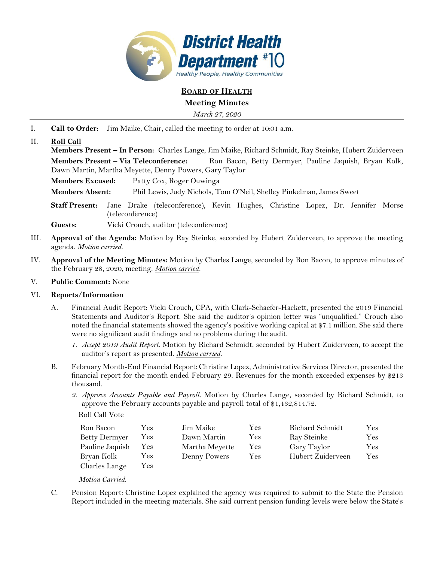

# **BOARD OF HEALTH**

### **Meeting Minutes**

*March 27, 2020*

I. **Call to Order:** Jim Maike, Chair, called the meeting to order at 10:01 a.m.

## II. **Roll Call**

**Members Present – In Person:** Charles Lange, Jim Maike, Richard Schmidt, Ray Steinke, Hubert Zuiderveen **Members Present – Via Teleconference:** Ron Bacon, Betty Dermyer, Pauline Jaquish, Bryan Kolk, Dawn Martin, Martha Meyette, Denny Powers, Gary Taylor

**Members Excused:** Patty Cox, Roger Ouwinga

**Members Absent:** Phil Lewis, Judy Nichols, Tom O'Neil, Shelley Pinkelman, James Sweet

**Staff Present:** Jane Drake (teleconference), Kevin Hughes, Christine Lopez, Dr. Jennifer Morse (teleconference)

**Guests:** Vicki Crouch, auditor (teleconference)

- III. **Approval of the Agenda:** Motion by Ray Steinke, seconded by Hubert Zuiderveen, to approve the meeting agenda. *Motion carried.*
- IV. **Approval of the Meeting Minutes:** Motion by Charles Lange, seconded by Ron Bacon, to approve minutes of the February 28, 2020, meeting. *Motion carried.*
- V. **Public Comment:** None

### VI. **Reports/Information**

- A. Financial Audit Report: Vicki Crouch, CPA, with Clark-Schaefer-Hackett, presented the 2019 Financial Statements and Auditor's Report. She said the auditor's opinion letter was "unqualified." Crouch also noted the financial statements showed the agency's positive working capital at \$7.1 million. She said there were no significant audit findings and no problems during the audit.
	- *1. Accept 2019 Audit Report.* Motion by Richard Schmidt, seconded by Hubert Zuiderveen, to accept the auditor's report as presented. *Motion carried.*
- B. February Month-End Financial Report: Christine Lopez, Administrative Services Director, presented the financial report for the month ended February 29. Revenues for the month exceeded expenses by \$213 thousand.
	- *2. Approve Accounts Payable and Payroll.* Motion by Charles Lange, seconded by Richard Schmidt, to approve the February accounts payable and payroll total of \$1,432,814.72.

Roll Call Vote

| Ron Bacon            | Yes        | Jim Maike      | Yes        | Richard Schmidt   | Yes       |
|----------------------|------------|----------------|------------|-------------------|-----------|
| <b>Betty Dermyer</b> | Yes.       | Dawn Martin    | Yes        | Ray Steinke       | $\rm Yes$ |
| Pauline Jaquish      | Yes.       | Martha Meyette | <b>Yes</b> | Gary Taylor       | Yes       |
| Bryan Kolk           | <b>Yes</b> | Denny Powers   | Yes        | Hubert Zuiderveen | Yes       |
| Charles Lange        | <b>Yes</b> |                |            |                   |           |

#### *Motion Carried.*

C. Pension Report: Christine Lopez explained the agency was required to submit to the State the Pension Report included in the meeting materials. She said current pension funding levels were below the State's